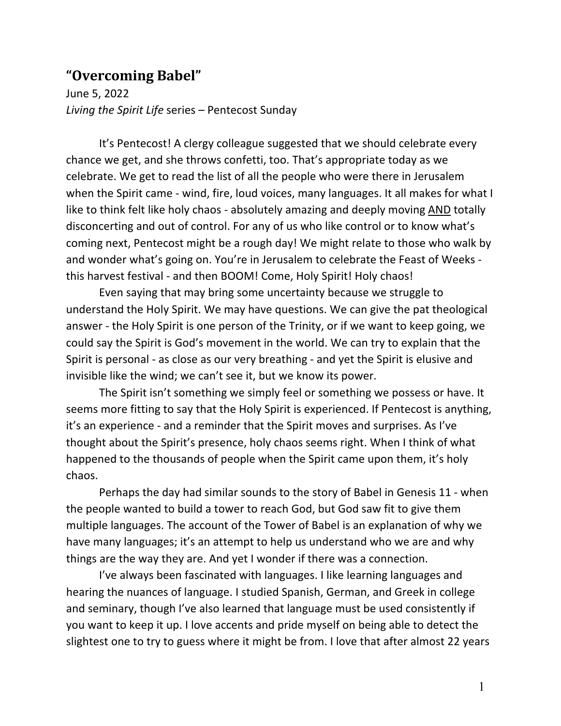## **"Overcoming Babel"**

June 5, 2022 *Living the Spirit Life* series – Pentecost Sunday

It's Pentecost! A clergy colleague suggested that we should celebrate every chance we get, and she throws confetti, too. That's appropriate today as we celebrate. We get to read the list of all the people who were there in Jerusalem when the Spirit came - wind, fire, loud voices, many languages. It all makes for what I like to think felt like holy chaos - absolutely amazing and deeply moving AND totally disconcerting and out of control. For any of us who like control or to know what's coming next, Pentecost might be a rough day! We might relate to those who walk by and wonder what's going on. You're in Jerusalem to celebrate the Feast of Weeks this harvest festival - and then BOOM! Come, Holy Spirit! Holy chaos!

Even saying that may bring some uncertainty because we struggle to understand the Holy Spirit. We may have questions. We can give the pat theological answer - the Holy Spirit is one person of the Trinity, or if we want to keep going, we could say the Spirit is God's movement in the world. We can try to explain that the Spirit is personal - as close as our very breathing - and yet the Spirit is elusive and invisible like the wind; we can't see it, but we know its power.

The Spirit isn't something we simply feel or something we possess or have. It seems more fitting to say that the Holy Spirit is experienced. If Pentecost is anything, it's an experience - and a reminder that the Spirit moves and surprises. As I've thought about the Spirit's presence, holy chaos seems right. When I think of what happened to the thousands of people when the Spirit came upon them, it's holy chaos.

Perhaps the day had similar sounds to the story of Babel in Genesis 11 - when the people wanted to build a tower to reach God, but God saw fit to give them multiple languages. The account of the Tower of Babel is an explanation of why we have many languages; it's an attempt to help us understand who we are and why things are the way they are. And yet I wonder if there was a connection.

I've always been fascinated with languages. I like learning languages and hearing the nuances of language. I studied Spanish, German, and Greek in college and seminary, though I've also learned that language must be used consistently if you want to keep it up. I love accents and pride myself on being able to detect the slightest one to try to guess where it might be from. I love that after almost 22 years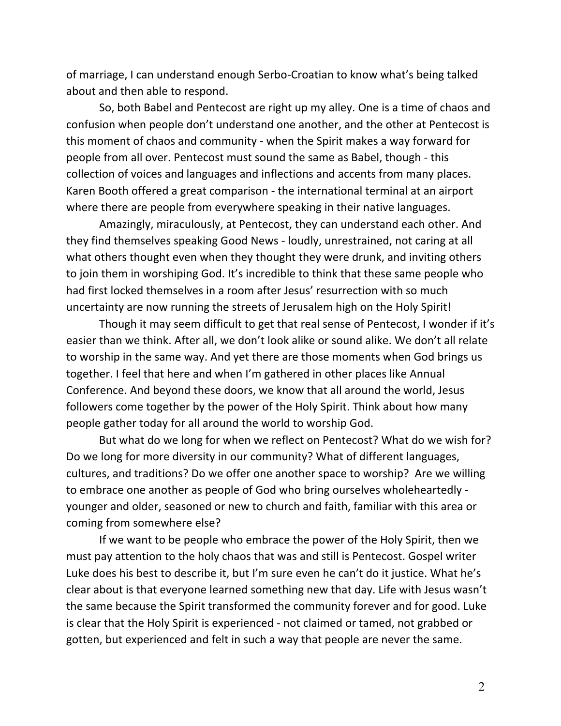of marriage, I can understand enough Serbo-Croatian to know what's being talked about and then able to respond.

So, both Babel and Pentecost are right up my alley. One is a time of chaos and confusion when people don't understand one another, and the other at Pentecost is this moment of chaos and community - when the Spirit makes a way forward for people from all over. Pentecost must sound the same as Babel, though - this collection of voices and languages and inflections and accents from many places. Karen Booth offered a great comparison - the international terminal at an airport where there are people from everywhere speaking in their native languages.

Amazingly, miraculously, at Pentecost, they can understand each other. And they find themselves speaking Good News - loudly, unrestrained, not caring at all what others thought even when they thought they were drunk, and inviting others to join them in worshiping God. It's incredible to think that these same people who had first locked themselves in a room after Jesus' resurrection with so much uncertainty are now running the streets of Jerusalem high on the Holy Spirit!

Though it may seem difficult to get that real sense of Pentecost, I wonder if it's easier than we think. After all, we don't look alike or sound alike. We don't all relate to worship in the same way. And yet there are those moments when God brings us together. I feel that here and when I'm gathered in other places like Annual Conference. And beyond these doors, we know that all around the world, Jesus followers come together by the power of the Holy Spirit. Think about how many people gather today for all around the world to worship God.

But what do we long for when we reflect on Pentecost? What do we wish for? Do we long for more diversity in our community? What of different languages, cultures, and traditions? Do we offer one another space to worship? Are we willing to embrace one another as people of God who bring ourselves wholeheartedly younger and older, seasoned or new to church and faith, familiar with this area or coming from somewhere else?

If we want to be people who embrace the power of the Holy Spirit, then we must pay attention to the holy chaos that was and still is Pentecost. Gospel writer Luke does his best to describe it, but I'm sure even he can't do it justice. What he's clear about is that everyone learned something new that day. Life with Jesus wasn't the same because the Spirit transformed the community forever and for good. Luke is clear that the Holy Spirit is experienced - not claimed or tamed, not grabbed or gotten, but experienced and felt in such a way that people are never the same.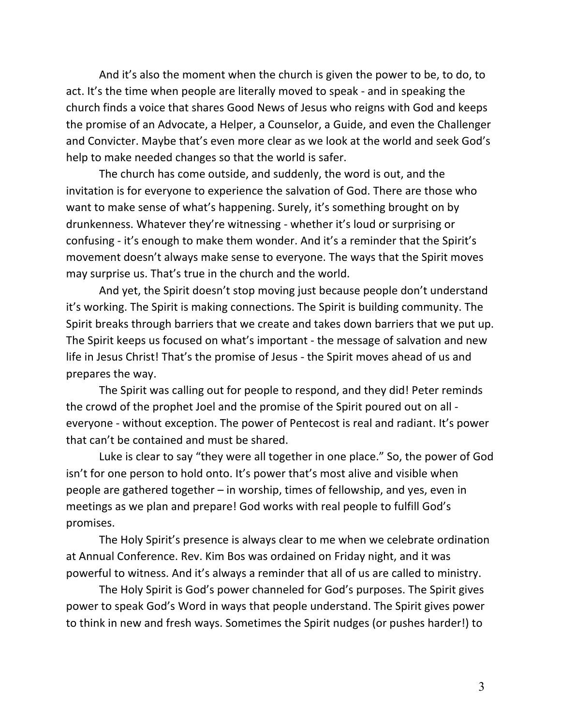And it's also the moment when the church is given the power to be, to do, to act. It's the time when people are literally moved to speak - and in speaking the church finds a voice that shares Good News of Jesus who reigns with God and keeps the promise of an Advocate, a Helper, a Counselor, a Guide, and even the Challenger and Convicter. Maybe that's even more clear as we look at the world and seek God's help to make needed changes so that the world is safer.

The church has come outside, and suddenly, the word is out, and the invitation is for everyone to experience the salvation of God. There are those who want to make sense of what's happening. Surely, it's something brought on by drunkenness. Whatever they're witnessing - whether it's loud or surprising or confusing - it's enough to make them wonder. And it's a reminder that the Spirit's movement doesn't always make sense to everyone. The ways that the Spirit moves may surprise us. That's true in the church and the world.

And yet, the Spirit doesn't stop moving just because people don't understand it's working. The Spirit is making connections. The Spirit is building community. The Spirit breaks through barriers that we create and takes down barriers that we put up. The Spirit keeps us focused on what's important - the message of salvation and new life in Jesus Christ! That's the promise of Jesus - the Spirit moves ahead of us and prepares the way.

The Spirit was calling out for people to respond, and they did! Peter reminds the crowd of the prophet Joel and the promise of the Spirit poured out on all everyone - without exception. The power of Pentecost is real and radiant. It's power that can't be contained and must be shared.

Luke is clear to say "they were all together in one place." So, the power of God isn't for one person to hold onto. It's power that's most alive and visible when people are gathered together – in worship, times of fellowship, and yes, even in meetings as we plan and prepare! God works with real people to fulfill God's promises.

The Holy Spirit's presence is always clear to me when we celebrate ordination at Annual Conference. Rev. Kim Bos was ordained on Friday night, and it was powerful to witness. And it's always a reminder that all of us are called to ministry.

The Holy Spirit is God's power channeled for God's purposes. The Spirit gives power to speak God's Word in ways that people understand. The Spirit gives power to think in new and fresh ways. Sometimes the Spirit nudges (or pushes harder!) to